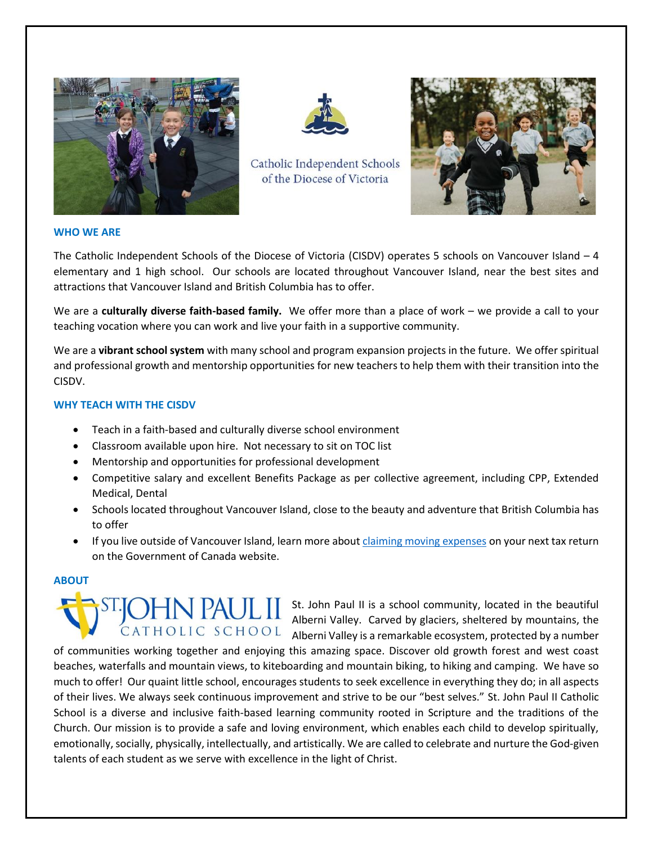



Catholic Independent Schools of the Diocese of Victoria



#### **WHO WE ARE**

The Catholic Independent Schools of the Diocese of Victoria (CISDV) operates 5 schools on Vancouver Island – 4 elementary and 1 high school. Our schools are located throughout Vancouver Island, near the best sites and attractions that Vancouver Island and British Columbia has to offer.

We are a **culturally diverse faith-based family.** We offer more than a place of work – we provide a call to your teaching vocation where you can work and live your faith in a supportive community.

We are a **vibrant school system** with many school and program expansion projects in the future. We offer spiritual and professional growth and mentorship opportunities for new teachers to help them with their transition into the CISDV.

### **WHY TEACH WITH THE CISDV**

- Teach in a faith-based and culturally diverse school environment
- Classroom available upon hire. Not necessary to sit on TOC list
- Mentorship and opportunities for professional development
- Competitive salary and excellent Benefits Package as per collective agreement, including CPP, Extended Medical, Dental
- Schools located throughout Vancouver Island, close to the beauty and adventure that British Columbia has to offer
- If you live outside of Vancouver Island, learn more about [claiming moving expenses](https://www.canada.ca/en/revenue-agency/services/tax/individuals/topics/about-your-tax-return/tax-return/completing-a-tax-return/deductions-credits-expenses/line-21900-moving-expenses/you-claim-moving-expenses-12.html) on your next tax return on the Government of Canada website.

## **ABOUT**



**St. John Paul II is a school community, located in the beautiful Alberti Valley, Consider the first strategy** Alberni Valley. Carved by glaciers, sheltered by mountains, the CATHOLIC SCHOOL Alberni Valley is a remarkable ecosystem, protected by a number

of communities working together and enjoying this amazing space. Discover old growth forest and west coast beaches, waterfalls and mountain views, to kiteboarding and mountain biking, to hiking and camping. We have so much to offer! Our quaint little school, encourages students to seek excellence in everything they do; in all aspects of their lives. We always seek continuous improvement and strive to be our "best selves." St. John Paul II Catholic School is a diverse and inclusive faith-based learning community rooted in Scripture and the traditions of the Church. Our mission is to provide a safe and loving environment, which enables each child to develop spiritually, emotionally, socially, physically, intellectually, and artistically. We are called to celebrate and nurture the God-given talents of each student as we serve with excellence in the light of Christ.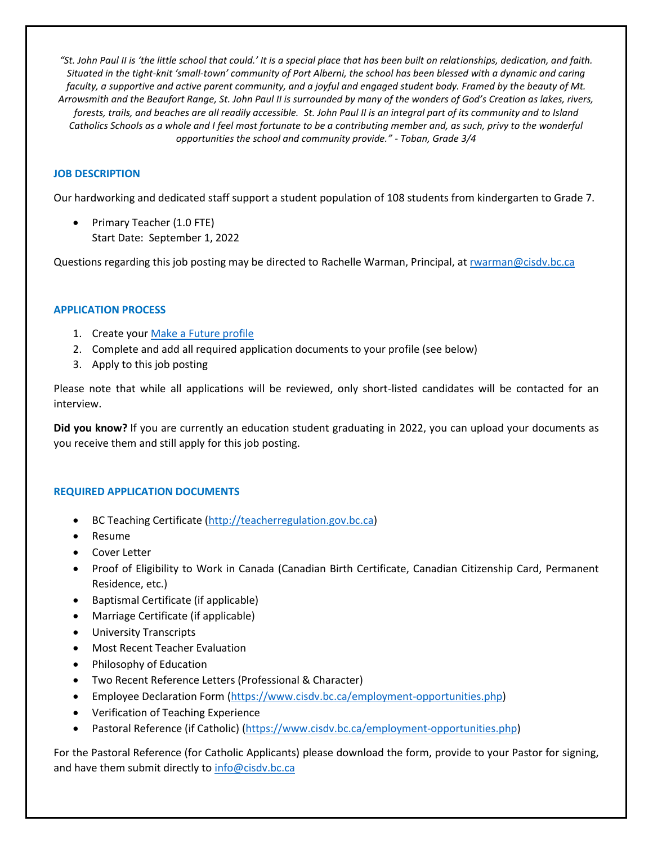*"St. John Paul II is 'the little school that could.' It is a special place that has been built on relationships, dedication, and faith. Situated in the tight-knit 'small-town' community of Port Alberni, the school has been blessed with a dynamic and caring faculty, a supportive and active parent community, and a joyful and engaged student body. Framed by the beauty of Mt. Arrowsmith and the Beaufort Range, St. John Paul II is surrounded by many of the wonders of God's Creation as lakes, rivers, forests, trails, and beaches are all readily accessible. St. John Paul II is an integral part of its community and to Island Catholics Schools as a whole and I feel most fortunate to be a contributing member and, as such, privy to the wonderful opportunities the school and community provide." - Toban, Grade 3/4*

# **JOB DESCRIPTION**

Our hardworking and dedicated staff support a student population of 108 students from kindergarten to Grade 7.

Primary Teacher (1.0 FTE) Start Date: September 1, 2022

Questions regarding this job posting may be directed to Rachelle Warman, Principal, a[t rwarman@cisdv.bc.ca](mailto:rwarman@cisdv.bc.ca)

### **APPLICATION PROCESS**

- 1. Create your [Make a Future profile](https://cisdv-makeafuture.simplication.com/WLSBLogin.aspx)
- 2. Complete and add all required application documents to your profile (see below)
- 3. Apply to this job posting

Please note that while all applications will be reviewed, only short-listed candidates will be contacted for an interview.

**Did you know?** If you are currently an education student graduating in 2022, you can upload your documents as you receive them and still apply for this job posting.

### **REQUIRED APPLICATION DOCUMENTS**

- BC Teaching Certificate [\(http://teacherregulation.gov.bc.ca\)](http://teacherregulation.gov.bc.ca/)
- Resume
- Cover Letter
- Proof of Eligibility to Work in Canada (Canadian Birth Certificate, Canadian Citizenship Card, Permanent Residence, etc.)
- Baptismal Certificate (if applicable)
- Marriage Certificate (if applicable)
- University Transcripts
- Most Recent Teacher Evaluation
- Philosophy of Education
- Two Recent Reference Letters (Professional & Character)
- Employee Declaration Form [\(https://www.cisdv.bc.ca/employment-opportunities.php\)](https://www.cisdv.bc.ca/employment-opportunities.php)
- Verification of Teaching Experience
- Pastoral Reference (if Catholic) [\(https://www.cisdv.bc.ca/employment-opportunities.php\)](https://www.cisdv.bc.ca/employment-opportunities.php)

For the Pastoral Reference (for Catholic Applicants) please download the form, provide to your Pastor for signing, and have them submit directly to [info@cisdv.bc.ca](mailto:info@cisdv.bc.ca)